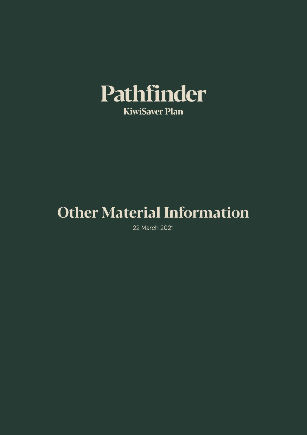

# Other Material Information

22 March 2021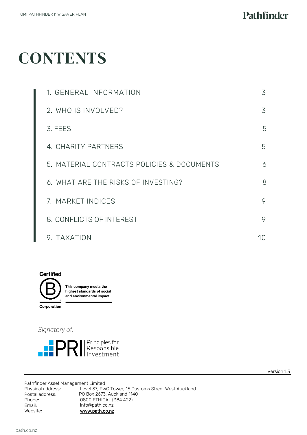## **CONTENTS**

| 1. GENERAL INFORMATION                     | 3  |
|--------------------------------------------|----|
| 2. WHO IS INVOLVED?                        | 3  |
| 3. FEES                                    | 5  |
| 4. CHARITY PARTNERS                        | 5  |
| 5. MATERIAL CONTRACTS POLICIES & DOCUMENTS | 6  |
| 6. WHAT ARE THE RISKS OF INVESTING?        | 8  |
| 7. MARKET INDICES                          | 9  |
| 8. CONFLICTS OF INTEREST                   | 9  |
| 9. TAXATION                                | 10 |



Signatory of:



Version 1.3

Pathfinder Asset Management Limited<br>Physical address: Level 37, Pw Physical address: Level 37, PwC Tower, 15 Customs Street West Auckland PO Box 2673, Auckland 1140 Phone: Email: Website: 0800 ETHICAL (384 422) info@path.co.nz [www.path.co.nz](http://www.path.co.nz/)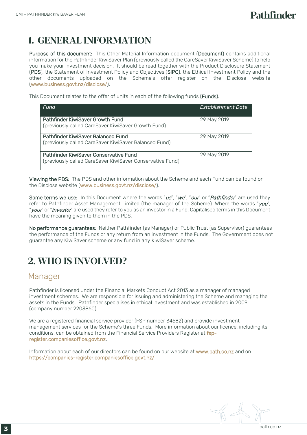## 1. GENERAL INFORMATION

Purpose of this document: This Other Material Information document (Document) contains additional information for the Pathfinder KiwiSaver Plan (previously called the CareSaver KiwiSaver Scheme) to help you make your investment decision. It should be read together with the Product Disclosure Statement (PDS), the Statement of Investment Policy and Objectives (SIPO), the Ethical Investment Policy and the other documents uploaded on the Scheme's offer register on the Disclose website (www.business.govt.nz/disclose/).

This Document relates to the offer of units in each of the following funds (Funds):

| Fund                                                                                                | <b>Establishment Date</b> |
|-----------------------------------------------------------------------------------------------------|---------------------------|
| Pathfinder KiwiSaver Growth Fund<br>(previously called CareSaver KiwiSaver Growth Fund)             | 29 May 2019               |
| Pathfinder KiwiSaver Balanced Fund<br>(previously called CareSaver KiwiSaver Balanced Fund)         | 29 May 2019               |
| Pathfinder KiwiSaver Conservative Fund<br>(previously called CareSaver KiwiSaver Conservative Fund) | 29 May 2019               |

Viewing the PDS: The PDS and other information about the Scheme and each Fund can be found on the Disclose website (www.business.govt.nz/disclose/).

Some terms we use: In this Document where the words "us", "we", "our" or "Pathfinder" are used they refer to Pathfinder Asset Management Limited (the manager of the Scheme). Where the words "you", "your" or "investor" are used they refer to you as an investor in a Fund. Capitalised terms in this Document have the meaning given to them in the PDS.

No performance guarantees: Neither Pathfinder (as Manager) or Public Trust (as Supervisor) guarantees the performance of the Funds or any return from an investment in the Funds. The Government does not guarantee any KiwiSaver scheme or any fund in any KiwiSaver scheme.

## 2. WHO IS INVOLVED?

#### Manager

Pathfinder is licensed under the Financial Markets Conduct Act 2013 as a manager of managed investment schemes. We are responsible for issuing and administering the Scheme and managing the assets in the Funds. Pathfinder specialises in ethical investment and was established in 2009 (company number 2203860).

We are a registered financial service provider (FSP number 34682) and provide investment management services for the Scheme's three Funds. More information about our licence, including its conditions, can be obtained from the Financial Service Providers Register at fspregister.companiesoffice.govt.nz.

Information about each of our directors can be found on our website at [www.path.co.nz](http://www.path.co.nz/) and on https://companies-register.companiesoffice.govt.nz/.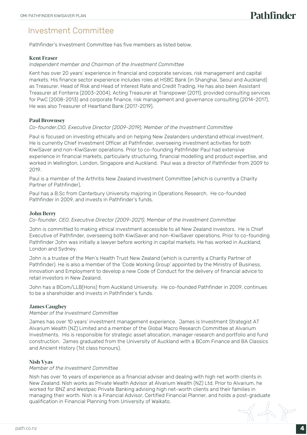#### Investment Committee

Pathfinder's Investment Committee has five members as listed below.

#### Kent Fraser

#### *Independent member and Chairman of the Investment Committee*

Kent has over 20 years' experience in financial and corporate services, risk management and capital markets. His finance sector experience includes roles at HSBC Bank (in Shanghai, Seoul and Auckland) as Treasurer, Head of Risk and Head of Interest Rate and Credit Trading. He has also been Assistant Treasurer at Fonterra (2003-2004), Acting Treasurer at Transpower (2011), provided consulting services for PwC (2008-2013) and corporate finance, risk management and governance consulting (2014-2017), He was also Treasurer of Heartland Bank (2017-2019).

#### Paul Brownsey

#### *Co-founder,CIO, Executive Director (2009-2019), Member of the Investment Committee*

Paul is focused on investing ethically and on helping New Zealanders understand ethical investment. He is currently Chief Investment Officer at Pathfinder, overseeing investment activities for both KiwiSaver and non-KiwiSaver operations. Prior to co-founding Pathfinder Paul had extensive experience in financial markets, particularly structuring, financial modelling and product expertise, and worked in Wellington, London, Singapore and Auckland. Paul was a director of Pathfinder from 2009 to 2019.

Paul is a member of the Arthritis New Zealand Investment Committee (which is currently a Charity Partner of Pathfinder).

Paul has a B.Sc from Canterbury University majoring in Operations Research. He co-founded Pathfinder in 2009, and invests in Pathfinder's funds.

#### John Berry

#### *Co-founder, CEO, Executive Director (2009-2021), Member of the Investment Committee*

John is committed to making ethical investment accessible to all New Zealand investors. He is Chief Executive of Pathfinder, overseeing both KiwiSaver and non-KiwiSaver operations. Prior to co-founding Pathfinder John was initially a lawyer before working in capital markets. He has worked in Auckland, London and Sydney.

John is a trustee of the Men's Health Trust New Zealand (which is currently a Charity Partner of Pathfinder). He is also a member of the 'Code Working Group' appointed by the Ministry of Business, Innovation and Employment to develop a new Code of Conduct for the delivery of financial advice to retail investors in New Zealand.

John has a BCom/LLB(Hons) from Auckland University. He co-founded Pathfinder in 2009, continues to be a shareholder and invests in Pathfinder's funds.

#### James Caughey

#### *Member of the Investment Committee*

James has over 10 years' investment management experience. James is Investment Strategist AT Alvarium Wealth (NZ) Limited and a member of the Global Macro Research Committee at Alvarium Investments. His is responsible for strategic asset allocation, manager research and portfolio and fund construction. James graduated from the University of Auckland with a BCom Finance and BA Classics and Ancient History (1st class honours).

#### Nish Vyas

#### *Member of the Investment Committee*

Nish has over 16 years of experience as a financial adviser and dealing with high net worth clients in New Zealand. Nish works as Private Wealth Advisor at Alvarium Wealth (NZ) Ltd. Prior to Alvarium, he worked for BNZ and Westpac Private Banking advising high net-worth clients and their families in managing their worth. Nish is a Financial Advisor, Certified Financial Planner, and holds a post-graduate qualification in Financial Planning from University of Waikato.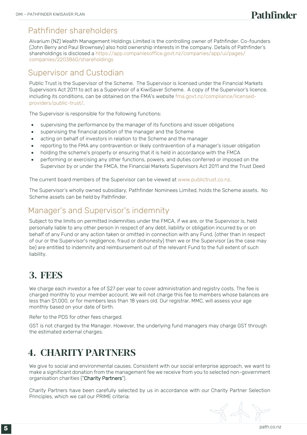## Pathfinder shareholders

Alvarium (NZ) Wealth Management Holdings Limited is the controlling owner of Pathfinder. Co-founders (John Berry and Paul Brownsey) also hold ownership interests in the company. Details of Pathfinder's shareholdings is disclosed a https://app.companiesoffice.govt.nz/companies/app/ui/pages/ companies/2203860/shareholdings

## Supervisor and Custodian

Public Trust is the Supervisor of the Scheme. The Supervisor is licensed under the Financial Markets Supervisors Act 2011 to act as a Supervisor of a KiwiSaver Scheme. A copy of the Supervisor's licence, including its conditions, can be obtained on the FMA's website [fma.govt.nz/compliance/licensed](http://www.fma.govt.nz/compliance/licensed-providers/public-trust/)[providers/public-trust/.](http://www.fma.govt.nz/compliance/licensed-providers/public-trust/)

The Supervisor is responsible for the following functions:

- supervising the performance by the manager of its functions and issuer obligations
- supervising the financial position of the manager and the Scheme
- acting on behalf of investors in relation to the Scheme and the manager
- reporting to the FMA any contravention or likely contravention of a manager's issuer obligation
- holding the scheme's property or ensuring that it is held in accordance with the FMCA
- performing or exercising any other functions, powers, and duties conferred or imposed on the Supervisor by or under the FMCA, the Financial Markets Supervisors Act 2011 and the Trust Deed

The current board members of the Supervisor can be viewed at [www.publictrust.co.nz.](https://www.publictrust.co.nz/about/our-team) 

The Supervisor's wholly owned subsidiary, Pathfinder Nominees Limited, holds the Scheme assets. No Scheme assets can be held by Pathfinder.

## Manager's and Supervisor's indemnity

Subject to the limits on permitted indemnities under the FMCA, if we are, or the Supervisor is, held personally liable to any other person in respect of any debt, liability or obligation incurred by or on behalf of any Fund or any action taken or omitted in connection with any Fund, (other than in respect of our or the Supervisor's negligence, fraud or dishonesty) then we or the Supervisor (as the case may be) are entitled to indemnity and reimbursement out of the relevant Fund to the full extent of such liability.

## 3. FEES

We charge each investor a fee of \$27 per year to cover administration and registry costs. The fee is charged monthly to your member account. We will not charge this fee to members whose balances are less than \$1,000, or for members less than 18 years old. Our registrar, MMC, will assess your age monthly based on your date of birth.

Refer to the PDS for other fees charged.

GST is not charged by the Manager. However, the underlying fund managers may charge GST through the estimated external charges.

## 4. CHARITY PARTNERS

We give to social and environmental causes. Consistent with our social enterprise approach, we want to make a significant donation from the management fee we receive from you to selected non-government organisation charities ("Charity Partners").

Charity Partners have been carefully selected by us in accordance with our Charity Partner Selection Principles, which we call our PRIME criteria: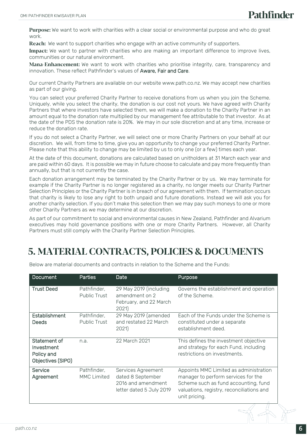Purpose: We want to work with charities with a clear social or environmental purpose and who do great work.

**Reach:** We want to support charities who engage with an active community of supporters.

Impact: We want to partner with charities who are making an important difference to improve lives, communities or our natural environment.

Mana-Enhancement: We want to work with charities who prioritise integrity, care, transparency and innovation. These reflect Pathfinder's values of Aware, Fair and Care.

Our current Charity Partners are available on our website www.path.co.nz. We may accept new charities as part of our giving.

You can select your preferred Charity Partner to receive donations from us when you join the Scheme. Uniquely, while you select the charity, the donation is our cost not yours. We have agreed with Charity Partners that where investors have selected them, we will make a donation to the Charity Partner in an amount equal to the donation rate multiplied by our management fee attributable to that investor. As at the date of the PDS the donation rate is 20%. We may in our sole discretion and at any time, increase or reduce the donation rate.

If you do not select a Charity Partner, we will select one or more Charity Partners on your behalf at our discretion. We will, from time to time, give you an opportunity to change your preferred Charity Partner. Please note that this ability to change may be limited by us to only one (or a few) times each year.

At the date of this document, donations are calculated based on unitholders at 31 March each year and are paid within 60 days. It is possible we may in future choose to calculate and pay more frequently than annually, but that is not currently the case.

Each donation arrangement may be terminated by the Charity Partner or by us. We may terminate for example if the Charity Partner is no longer registered as a charity, no longer meets our Charity Partner Selection Principles or the Charity Partner is in breach of our agreement with them. If termination occurs that charity is likely to lose any right to both unpaid and future donations. Instead we will ask you for another charity selection. If you don't make this selection then we may pay such moneys to one or more other Charity Partners as we may determine at our discretion.

As part of our commitment to social and environmental causes in New Zealand, Pathfinder and Alvarium executives may hold governance positions with one or more Charity Partners. However, all Charity Partners must still comply with the Charity Partner Selection Principles.

## 5. MATERIAL CONTRACTS, POLICIES & DOCUMENTS

| <b>Trust Deed</b><br>Pathfinder.                                      | Public Trust<br>amendment on 2                                | 29 May 2019 (including<br>Governs the establishment and operation                                                                                                                                                                     |  |
|-----------------------------------------------------------------------|---------------------------------------------------------------|---------------------------------------------------------------------------------------------------------------------------------------------------------------------------------------------------------------------------------------|--|
|                                                                       | 2021)                                                         | of the Scheme.<br>February, and 22 March                                                                                                                                                                                              |  |
| Establishment<br>Pathfinder,<br><b>Deeds</b>                          | <b>Public Trust</b><br>2021)                                  | Each of the Funds under the Scheme is<br>29 May 2019 (amended<br>and restated 22 March<br>constituted under a separate<br>establishment deed.                                                                                         |  |
| Statement of<br>n.a.<br>Investment<br>Policy and<br>Objectives (SIPO) | 22 March 2021                                                 | This defines the investment objective<br>and strategy for each Fund, including<br>restrictions on investments.                                                                                                                        |  |
| Pathfinder,<br>Service<br>Agreement                                   | Services Agreement<br>dated 8 September<br><b>MMC Limited</b> | Appoints MMC Limited as administration<br>manager to perform services for the<br>2016 and amendment<br>Scheme such as fund accounting, fund<br>letter dated 5 July 2019<br>valuations, registry, reconciliations and<br>unit pricing. |  |

Below are material documents and contracts in relation to the Scheme and the Funds: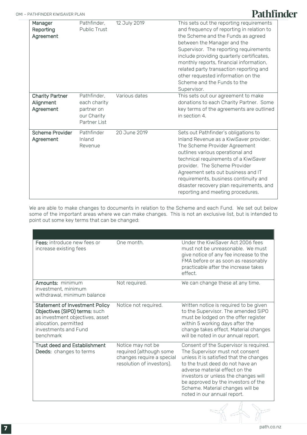## Pathfinder

| Manager<br>Reporting<br>Agreement                | Pathfinder,<br><b>Public Trust</b>                                       | 12 July 2019  | This sets out the reporting requirements<br>and frequency of reporting in relation to<br>the Scheme and the Funds as agreed<br>between the Manager and the<br>Supervisor. The reporting requirements<br>include providing quarterly certificates,<br>monthly reports, financial information,<br>related party transaction reporting and<br>other requested information on the<br>Scheme and the Funds to the<br>Supervisor. |
|--------------------------------------------------|--------------------------------------------------------------------------|---------------|-----------------------------------------------------------------------------------------------------------------------------------------------------------------------------------------------------------------------------------------------------------------------------------------------------------------------------------------------------------------------------------------------------------------------------|
| <b>Charity Partner</b><br>Alignment<br>Agreement | Pathfinder,<br>each charity<br>partner on<br>our Charity<br>Partner List | Various dates | This sets out our agreement to make<br>donations to each Charity Partner. Some<br>key terms of the agreements are outlined<br>in section 4.                                                                                                                                                                                                                                                                                 |
| <b>Scheme Provider</b><br>Agreement              | Pathfinder<br>Inland<br>Revenue                                          | 20 June 2019  | Sets out Pathfinder's obligations to<br>Inland Revenue as a KiwiSaver provider.<br>The Scheme Provider Agreement<br>outlines various operational and<br>technical requirements of a KiwiSaver<br>provider. The Scheme Provider<br>Agreement sets out business and IT<br>requirements, business continuity and<br>disaster recovery plan requirements, and<br>reporting and meeting procedures.                              |

We are able to make changes to documents in relation to the Scheme and each Fund. We set out below some of the important areas where we can make changes. This is not an exclusive list, but is intended to point out some key terms that can be changed:

| Fees: introduce new fees or<br>increase existing fees                                                                                                                   | One month.                                                                                             | Under the KiwiSaver Act 2006 fees<br>must not be unreasonable. We must<br>give notice of any fee increase to the<br>FMA before or as soon as reasonably<br>practicable after the increase takes<br>effect.                                                                                                                                        |
|-------------------------------------------------------------------------------------------------------------------------------------------------------------------------|--------------------------------------------------------------------------------------------------------|---------------------------------------------------------------------------------------------------------------------------------------------------------------------------------------------------------------------------------------------------------------------------------------------------------------------------------------------------|
| Amounts: minimum<br>investment, minimum<br>withdrawal, minimum balance                                                                                                  | Not required.                                                                                          | We can change these at any time.                                                                                                                                                                                                                                                                                                                  |
| <b>Statement of Investment Policy</b><br>Objectives (SIPO) terms: such<br>as investment objectives, asset<br>allocation, permitted<br>investments and Fund<br>benchmark | Notice not required.                                                                                   | Written notice is required to be given<br>to the Supervisor. The amended SIPO<br>must be lodged on the offer register<br>within 5 working days after the<br>change takes effect. Material changes<br>will be noted in our annual report.                                                                                                          |
| <b>Trust deed and Establishment</b><br>Deeds: changes to terms                                                                                                          | Notice may not be<br>required (although some<br>changes require a special<br>resolution of investors). | Consent of the Supervisor is required.<br>The Supervisor must not consent<br>unless it is satisfied that the changes<br>to the trust deed do not have an<br>adverse material effect on the<br>investors or unless the changes will<br>be approved by the investors of the<br>Scheme. Material changes will be<br>noted in our annual report.<br>n |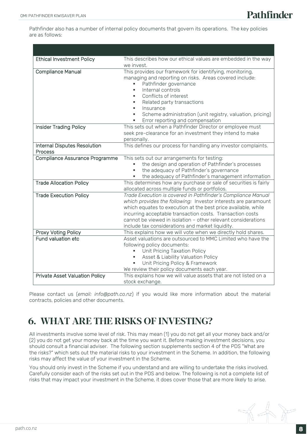Pathfinder also has a number of internal policy documents that govern its operations. The key policies are as follows:

| <b>Ethical Investment Policy</b>                      | This describes how our ethical values are embedded in the way<br>we invest.                                                                                                                                                                                                                                                                                                       |
|-------------------------------------------------------|-----------------------------------------------------------------------------------------------------------------------------------------------------------------------------------------------------------------------------------------------------------------------------------------------------------------------------------------------------------------------------------|
| <b>Compliance Manual</b>                              | This provides our framework for identifying, monitoring,<br>managing and reporting on risks. Areas covered include:<br>Pathfinder governance<br>Internal controls<br>$\blacksquare$<br>Conflicts of interest<br>٠<br>Related party transactions<br>٠<br>Insurance<br>٠<br>Scheme administration (unit registry, valuation, pricing)<br>٠<br>Error reporting and compensation      |
| <b>Insider Trading Policy</b>                         | This sets out when a Pathfinder Director or employee must<br>seek pre-clearance for an investment they intend to make<br>personally.                                                                                                                                                                                                                                              |
| <b>Internal Disputes Resolution</b><br><b>Process</b> | This defines our process for handling any investor complaints.                                                                                                                                                                                                                                                                                                                    |
| Compliance Assurance Programme                        | This sets out our arrangements for testing:<br>the design and operation of Pathfinder's processes<br>a,<br>the adequacy of Pathfinder's governance<br>the adequacy of Pathfinder's management information<br>a,                                                                                                                                                                   |
| <b>Trade Allocation Policy</b>                        | This determines how any purchase or sale of securities is fairly<br>allocated across multiple funds or portfolios.                                                                                                                                                                                                                                                                |
| <b>Trade Execution Policy</b>                         | Trade Execution is covered in Pathfinder's Compliance Manual<br>which provides the following: Investor interests are paramount<br>which equates to execution at the best price available, while<br>incurring acceptable transaction costs. Transaction costs<br>cannot be viewed in isolation - other relevant considerations<br>include tax considerations and market liquidity. |
| Proxy Voting Policy                                   | This explains how we will vote when we directly hold shares.                                                                                                                                                                                                                                                                                                                      |
| Fund valuation etc                                    | Asset valuations are outsourced to MMC Limited who have the<br>following policy documents:<br>Unit Pricing Taxation Policy<br>٠<br>Asset & Liability Valuation Policy<br>٠<br>Unit Pricing Policy & Framework<br>٠<br>We review their policy documents each year.                                                                                                                 |
| <b>Private Asset Valuation Policy</b>                 | This explains how we will value assets that are not listed on a<br>stock exchange.                                                                                                                                                                                                                                                                                                |

Please contact us (*email: info@path.co.nz*) if you would like more information about the material contracts, policies and other documents.

## 6. WHAT ARE THE RISKS OF INVESTING?

All investments involve some level of risk. This may mean (1) you do not get all your money back and/or (2) you do not get your money back at the time you want it. Before making investment decisions, you should consult a financial adviser. The following section supplements section 4 of the PDS "What are the risks?" which sets out the material risks to your investment in the Scheme. In addition, the following risks may affect the value of your investment in the Scheme.

You should only invest in the Scheme if you understand and are willing to undertake the risks involved. Carefully consider each of the risks set out in the PDS and below. The following is not a complete list of risks that may impact your investment in the Scheme, it does cover those that are more likely to arise.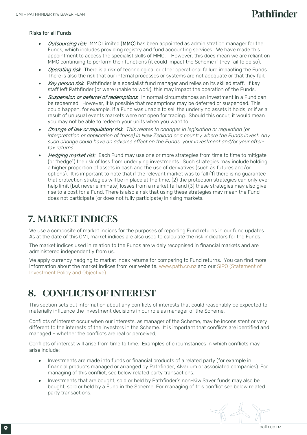#### Risks for all Funds

- Outsourcing risk*:* MMC Limited (MMC) has been appointed as administration manager for the Funds, which includes providing registry and fund accounting services. We have made this appointment to access the specialist skills of MMC. However, this does mean we are reliant on MMC continuing to perform their functions (it could impact the Scheme if they fail to do so).
- Operating risk: There is a risk of technological or other operational failure impacting the Funds. There is also the risk that our internal processes or systems are not adequate or that they fail.
- Key person risk: Pathfinder is a specialist fund manager and relies on its skilled staff. If key staff left Pathfinder (or were unable to work), this may impact the operation of the Funds.
- Suspension or deferral of redemptions*:* In normal circumstances an investment in a Fund can be redeemed. However, it is possible that redemptions may be deferred or suspended. This could happen, for example, if a Fund was unable to sell the underlying assets it holds, or if as a result of unusual events markets were not open for trading. Should this occur, it would mean you may not be able to redeem your units when you want to.
- Change of law or regulatory risk*: This relates to changes in legislation or regulation (or interpretation or application of these) in New Zealand or a country where the Funds invest. Any such change could have an adverse effect on the Funds, your investment and/or your aftertax returns.*
- Hedging market risk: Each Fund may use one or more strategies from time to time to mitigate (or "hedge") the risk of loss from underlying investments. Such strategies may include holding a higher proportion of assets in cash and the use of derivatives (such as futures and/or options). It is important to note that if the relevant market was to fall (1) there is no guarantee that protection strategies will be in place at the time, (2) the protection strategies can only ever help limit (but never eliminate) losses from a market fall and (3) these strategies may also give rise to a cost for a Fund. There is also a risk that using these strategies may mean the Fund does not participate (or does not fully participate) in rising markets.

## 7. MARKET INDICES

We use a composite of market indices for the purposes of reporting Fund returns in our fund updates. As at the date of this OMI, market indices are also used to calculate the risk indicators for the Funds.

The market indices used in relation to the Funds are widely recognised in financial markets and are administered independently from us.

We apply currency hedging to market index returns for comparing to Fund returns. You can find more information about the market indices from our website: www.path.co.nz and our SIPO (Statement of Investment Policy and Objective).

## 8. CONFLICTS OF INTEREST

This section sets out information about any conflicts of interests that could reasonably be expected to materially influence the investment decisions in our role as manager of the Scheme.

Conflicts of interest occur when our interests, as manager of the Scheme, may be inconsistent or very different to the interests of the investors in the Scheme. It is important that conflicts are identified and managed – whether the conflicts are real or perceived,

Conflicts of interest will arise from time to time. Examples of circumstances in which conflicts may arise include:

- Investments are made into funds or financial products of a related party (for example in financial products managed or arranged by Pathfinder, Alvarium or associated companies). For managing of this conflict, see below related party transactions.
- Investments that are bought, sold or held by Pathfinder's non-KiwiSaver funds may also be bought, sold or held by a Fund in the Scheme. For managing of this conflict see below related party transactions.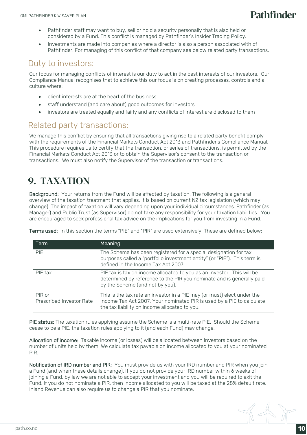- Pathfinder staff may want to buy, sell or hold a security personally that is also held or considered by a Fund. This conflict is managed by Pathfinder's Insider Trading Policy.
- Investments are made into companies where a director is also a person associated with of Pathfinder. For managing of this conflict of that company see below related party transactions.

#### Duty to investors:

Our focus for managing conflicts of interest is our duty to act in the best interests of our investors. Our Compliance Manual recognises that to achieve this our focus is on creating processes, controls and a culture where:

- client interests are at the heart of the business
- staff understand (and care about) good outcomes for investors
- investors are treated equally and fairly and any conflicts of interest are disclosed to them

#### Related party transactions:

We manage this conflict by ensuring that all transactions giving rise to a related party benefit comply with the requirements of the Financial Markets Conduct Act 2013 and Pathfinder's Compliance Manual. This procedure requires us to certify that the transaction, or series of transactions, is permitted by the Financial Markets Conduct Act 2013 or to obtain the Supervisor's consent to the transaction or transactions. We must also notify the Supervisor of the transaction or transactions.

## 9. TAXATION

Background: Your returns from the Fund will be affected by taxation. The following is a general overview of the taxation treatment that applies. It is based on current NZ tax legislation (which may change). The impact of taxation will vary depending upon your individual circumstances. Pathfinder (as Manager) and Public Trust (as Supervisor) do not take any responsibility for your taxation liabilities. You are encouraged to seek professional tax advice on the implications for you from investing in a Fund.

Terms used: In this section the terms "PIE" and "PIR" are used extensively. These are defined below:

| Term                               | Meaning                                                                                                                                                                                           |
|------------------------------------|---------------------------------------------------------------------------------------------------------------------------------------------------------------------------------------------------|
| <b>PIE</b>                         | The Scheme has been registered for a special designation for tax<br>purposes called a "portfolio investment entity" (or "PIE"). This term is<br>defined in the Income Tax Act 2007.               |
| PIE tax                            | PIE tax is tax on income allocated to you as an investor. This will be<br>determined by reference to the PIR you nominate and is generally paid<br>by the Scheme (and not by you).                |
| PIR or<br>Prescribed Investor Rate | This is the tax rate an investor in a PIE may (or must) elect under the<br>Income Tax Act 2007. Your nominated PIR is used by a PIE to calculate<br>the tax liability on income allocated to you. |

PIE status: The taxation rules applying assume the Scheme is a multi-rate PIE. Should the Scheme cease to be a PIE, the taxation rules applying to it (and each Fund) may change.

Allocation of income: Taxable income (or losses) will be allocated between investors based on the number of units held by them. We calculate tax payable on income allocated to you at your nominated PIR.

Notification of IRD number and PIR: You must provide us with your IRD number and PIR when you join a Fund (and when these details change). If you do not provide your IRD number within 6 weeks of joining a Fund, by law we are not able to accept your investment and you will be required to exit the Fund. If you do not nominate a PIR, then income allocated to you will be taxed at the 28% default rate. Inland Revenue can also require us to change a PIR that you nominate.

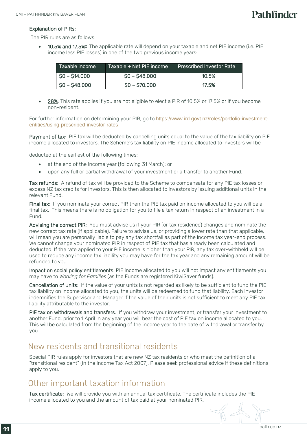#### Explanation of PIRs:

The PIR rules are as follows:

10.5% and 17.5%: The applicable rate will depend on your taxable and net PIE income (i.e. PIE income less PIE losses) in one of the two previous income years:

| . Taxable income | Taxable + Net PIE income | Prescribed Investor Rate |
|------------------|--------------------------|--------------------------|
| $SO - S14,000$   | $SO - S48,000$           | 10.5%                    |
| $SO - S48,000$   | $$0 - $70,000$           | 17.5%                    |

28%: This rate applies if you are not eligible to elect a PIR of 10.5% or 17.5% or if you become non-resident.

For further information on determining your PIR, go to [https://www.ird.govt.nz/roles/portfolio-investment](https://www.ird.govt.nz/roles/portfolio-investment-entities/using-prescribed-investor-rates)[entities/using-prescribed-investor-rates](https://www.ird.govt.nz/roles/portfolio-investment-entities/using-prescribed-investor-rates)

Payment of tax: PIE tax will be deducted by cancelling units equal to the value of the tax liability on PIE income allocated to investors. The Scheme's tax liability on PIE income allocated to investors will be

deducted at the earliest of the following times:

- at the end of the income year (following 31 March); or
- upon any full or partial withdrawal of your investment or a transfer to another Fund.

Tax refunds: A refund of tax will be provided to the Scheme to compensate for any PIE tax losses or excess NZ tax credits for investors. This is then allocated to investors by issuing additional units in the relevant Fund.

Final tax: If you nominate your correct PIR then the PIE tax paid on income allocated to you will be a final tax. This means there is no obligation for you to file a tax return in respect of an investment in a Fund.

Advising the correct PIR: You must advise us if your PIR (or tax residence) changes and nominate the new correct tax rate (if applicable). Failure to advise us, or providing a lower rate than that applicable, will mean you are personally liable to pay any tax shortfall as part of the income tax year-end process. We cannot change your nominated PIR in respect of PIE tax that has already been calculated and deducted. If the rate applied to your PIE income is higher than your PIR, any tax over-withheld will be used to reduce any income tax liability you may have for the tax year and any remaining amount will be refunded to you.

Impact on social policy entitlements: PIE income allocated to you will not impact any entitlements you may have to *Working for Families* (as the Funds are registered KiwiSaver funds).

Cancellation of units: If the value of your units is not regarded as likely to be sufficient to fund the PIE tax liability on income allocated to you, the units will be redeemed to fund that liability. Each investor indemnifies the Supervisor and Manager if the value of their units is not sufficient to meet any PIE tax liability attributable to the investor.

PIE tax on withdrawals and transfers: If you withdraw your investment, or transfer your investment to another Fund, prior to 1 April in any year you will bear the cost of PIE tax on income allocated to you. This will be calculated from the beginning of the income year to the date of withdrawal or transfer by you.

#### New residents and transitional residents

Special PIR rules apply for investors that are new NZ tax residents or who meet the definition of a "transitional resident" (in the Income Tax Act 2007). Please seek professional advice if these definitions apply to you.

#### Other important taxation information

Tax certificate: We will provide you with an annual tax certificate. The certificate includes the PIE income allocated to you and the amount of tax paid at your nominated PIR.